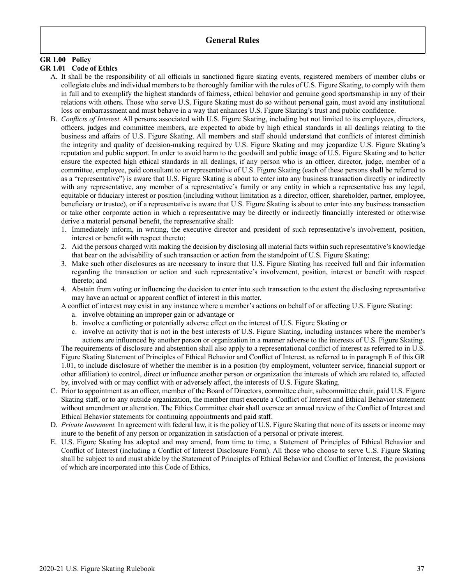# **General Rules**

# **GR 1.00 Policy**

#### **GR 1.01 Code of Ethics**

- A. It shall be the responsibility of all officials in sanctioned figure skating events, registered members of member clubs or collegiate clubs and individual members to be thoroughly familiar with the rules of U.S. Figure Skating, to comply with them in full and to exemplify the highest standards of fairness, ethical behavior and genuine good sportsmanship in any of their relations with others. Those who serve U.S. Figure Skating must do so without personal gain, must avoid any institutional loss or embarrassment and must behave in a way that enhances U.S. Figure Skating's trust and public confidence.
- B. *Conflicts of Interest.* All persons associated with U.S. Figure Skating, including but not limited to its employees, directors, officers, judges and committee members, are expected to abide by high ethical standards in all dealings relating to the business and affairs of U.S. Figure Skating. All members and staff should understand that conflicts of interest diminish the integrity and quality of decision-making required by U.S. Figure Skating and may jeopardize U.S. Figure Skating's reputation and public support. In order to avoid harm to the goodwill and public image of U.S. Figure Skating and to better ensure the expected high ethical standards in all dealings, if any person who is an officer, director, judge, member of a committee, employee, paid consultant to or representative of U.S. Figure Skating (each of these persons shall be referred to as a "representative") is aware that U.S. Figure Skating is about to enter into any business transaction directly or indirectly with any representative, any member of a representative's family or any entity in which a representative has any legal, equitable or fiduciary interest or position (including without limitation as a director, officer, shareholder, partner, employee, beneficiary or trustee), or if a representative is aware that U.S. Figure Skating is about to enter into any business transaction or take other corporate action in which a representative may be directly or indirectly financially interested or otherwise derive a material personal benefit, the representative shall:
	- 1. Immediately inform, in writing, the executive director and president of such representative's involvement, position, interest or benefit with respect thereto;
	- 2. Aid the persons charged with making the decision by disclosing all material facts within such representative's knowledge that bear on the advisability of such transaction or action from the standpoint of U.S. Figure Skating;
	- 3. Make such other disclosures as are necessary to insure that U.S. Figure Skating has received full and fair information regarding the transaction or action and such representative's involvement, position, interest or benefit with respect thereto; and
	- 4. Abstain from voting or influencing the decision to enter into such transaction to the extent the disclosing representative may have an actual or apparent conflict of interest in this matter.
	- A conflict of interest may exist in any instance where a member's actions on behalf of or affecting U.S. Figure Skating:
		- a. involve obtaining an improper gain or advantage or
		- b. involve a conflicting or potentially adverse effect on the interest of U.S. Figure Skating or
		- c. involve an activity that is not in the best interests of U.S. Figure Skating, including instances where the member's actions are influenced by another person or organization in a manner adverse to the interests of U.S. Figure Skating.

The requirements of disclosure and abstention shall also apply to a representational conflict of interest as referred to in U.S. Figure Skating Statement of Principles of Ethical Behavior and Conflict of Interest, as referred to in paragraph E of this GR 1.01, to include disclosure of whether the member is in a position (by employment, volunteer service, financial support or other affiliation) to control, direct or influence another person or organization the interests of which are related to, affected by, involved with or may conflict with or adversely affect, the interests of U.S. Figure Skating.

- C. Prior to appointment as an officer, member of the Board of Directors, committee chair, subcommittee chair, paid U.S. Figure Skating staff, or to any outside organization, the member must execute a Conflict of Interest and Ethical Behavior statement without amendment or alteration. The Ethics Committee chair shall oversee an annual review of the Conflict of Interest and Ethical Behavior statements for continuing appointments and paid staff.
- D. *Private Inurement*. In agreement with federal law, it is the policy of U.S. Figure Skating that none of its assets or income may inure to the benefit of any person or organization in satisfaction of a personal or private interest.
- E. U.S. Figure Skating has adopted and may amend, from time to time, a Statement of Principles of Ethical Behavior and Conflict of Interest (including a Conflict of Interest Disclosure Form). All those who choose to serve U.S. Figure Skating shall be subject to and must abide by the Statement of Principles of Ethical Behavior and Conflict of Interest, the provisions of which are incorporated into this Code of Ethics.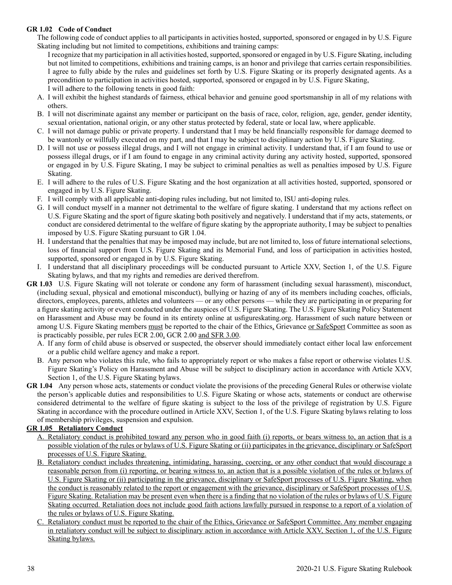### **GR 1.02 Code of Conduct**

The following code of conduct applies to all participants in activities hosted, supported, sponsored or engaged in by U.S. Figure Skating including but not limited to competitions, exhibitions and training camps:

I recognize that my participation in all activities hosted, supported, sponsored or engaged in by U.S. Figure Skating, including but not limited to competitions, exhibitions and training camps, is an honor and privilege that carries certain responsibilities. I agree to fully abide by the rules and guidelines set forth by U.S. Figure Skating or its properly designated agents. As a precondition to participation in activities hosted, supported, sponsored or engaged in by U.S. Figure Skating, I will adhere to the following tenets in good faith:

- A. I will exhibit the highest standards of fairness, ethical behavior and genuine good sportsmanship in all of my relations with others.
- B. I will not discriminate against any member or participant on the basis of race, color, religion, age, gender, gender identity, sexual orientation, national origin, or any other status protected by federal, state or local law, where applicable.
- C. I will not damage public or private property. I understand that I may be held financially responsible for damage deemed to be wantonly or willfully executed on my part, and that I may be subject to disciplinary action by U.S. Figure Skating.
- D. I will not use or possess illegal drugs, and I will not engage in criminal activity. I understand that, if I am found to use or possess illegal drugs, or if I am found to engage in any criminal activity during any activity hosted, supported, sponsored or engaged in by U.S. Figure Skating, I may be subject to criminal penalties as well as penalties imposed by U.S. Figure Skating.
- E. I will adhere to the rules of U.S. Figure Skating and the host organization at all activities hosted, supported, sponsored or engaged in by U.S. Figure Skating.
- F. I will comply with all applicable anti-doping rules including, but not limited to, ISU anti-doping rules.
- G. I will conduct myself in a manner not detrimental to the welfare of figure skating. I understand that my actions reflect on U.S. Figure Skating and the sport of figure skating both positively and negatively. I understand that if my acts, statements, or conduct are considered detrimental to the welfare of figure skating by the appropriate authority, I may be subject to penalties imposed by U.S. Figure Skating pursuant to GR 1.04.
- H. I understand that the penalties that may be imposed may include, but are not limited to, loss of future international selections, loss of financial support from U.S. Figure Skating and its Memorial Fund, and loss of participation in activities hosted, supported, sponsored or engaged in by U.S. Figure Skating.
- I. I understand that all disciplinary proceedings will be conducted pursuant to Article XXV, Section 1, of the U.S. Figure Skating bylaws, and that my rights and remedies are derived therefrom.
- **GR 1.03** U.S. Figure Skating will not tolerate or condone any form of harassment (including sexual harassment), misconduct, (including sexual, physical and emotional misconduct), bullying or hazing of any of its members including coaches, officials, directors, employees, parents, athletes and volunteers — or any other persons — while they are participating in or preparing for a figure skating activity or event conducted under the auspices of U.S. Figure Skating. The U.S. Figure Skating Policy Statement on Harassment and Abuse may be found in its entirety online at usfigureskating.org. Harassment of such nature between or among U.S. Figure Skating members must be reported to the chair of the Ethics, Grievance or SafeSport Committee as soon as is practicably possible, per rules ECR 2.00, GCR 2.00 and SFR 3.00.
	- A. If any form of child abuse is observed or suspected, the observer should immediately contact either local law enforcement or a public child welfare agency and make a report.
	- B. Any person who violates this rule, who fails to appropriately report or who makes a false report or otherwise violates U.S. Figure Skating's Policy on Harassment and Abuse will be subject to disciplinary action in accordance with Article XXV, Section 1, of the U.S. Figure Skating bylaws.
- **GR 1.04** Any person whose acts, statements or conduct violate the provisions of the preceding General Rules or otherwise violate the person's applicable duties and responsibilities to U.S. Figure Skating or whose acts, statements or conduct are otherwise considered detrimental to the welfare of figure skating is subject to the loss of the privilege of registration by U.S. Figure Skating in accordance with the procedure outlined in Article XXV, Section 1, of the U.S. Figure Skating bylaws relating to loss of membership privileges, suspension and expulsion.

# **GR 1.05 Retaliatory Conduct**

- A. Retaliatory conduct is prohibited toward any person who in good faith (i) reports, or bears witness to, an action that is a possible violation of the rules or bylaws of U.S. Figure Skating or (ii) participates in the grievance, disciplinary or SafeSport processes of U.S. Figure Skating.
- B. Retaliatory conduct includes threatening, intimidating, harassing, coercing, or any other conduct that would discourage a reasonable person from (i) reporting, or bearing witness to, an action that is a possible violation of the rules or bylaws of U.S. Figure Skating or (ii) participating in the grievance, disciplinary or SafeSport processes of U.S. Figure Skating, when the conduct is reasonably related to the report or engagement with the grievance, disciplinary or SafeSport processes of U.S. Figure Skating. Retaliation may be present even when there is a finding that no violation of the rules or bylaws of U.S. Figure Skating occurred. Retaliation does not include good faith actions lawfully pursued in response to a report of a violation of the rules or bylaws of U.S. Figure Skating.
- C. Retaliatory conduct must be reported to the chair of the Ethics, Grievance or SafeSport Committee. Any member engaging in retaliatory conduct will be subject to disciplinary action in accordance with Article XXV, Section 1, of the U.S. Figure Skating bylaws.